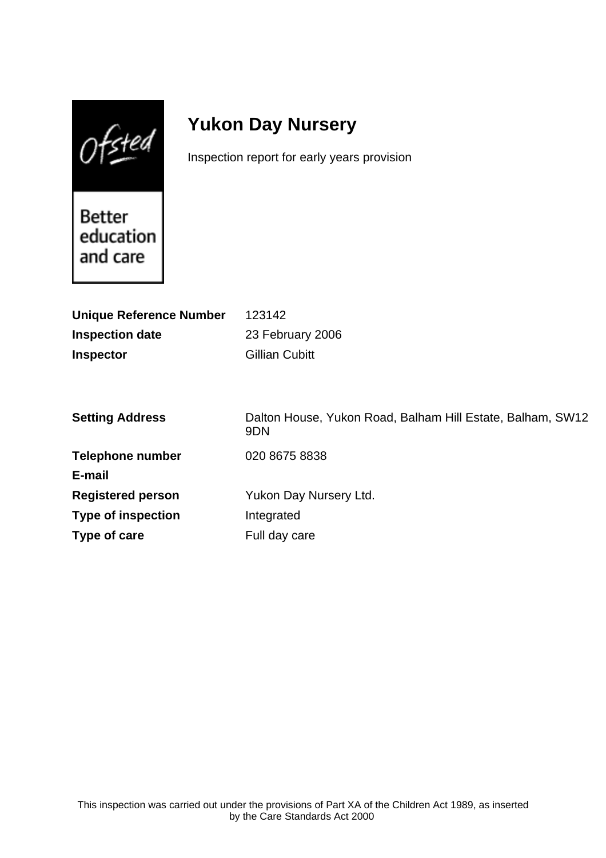$0$ fsted

# **Yukon Day Nursery**

Inspection report for early years provision

Better education and care

| <b>Unique Reference Number</b> | 123142                                                                        |
|--------------------------------|-------------------------------------------------------------------------------|
| <b>Inspection date</b>         | 23 February 2006                                                              |
| <b>Inspector</b>               | <b>Gillian Cubitt</b>                                                         |
|                                |                                                                               |
|                                |                                                                               |
| <b>Setting Address</b>         | Dalton House, Yukon Road, Balham Hill Estate, Balham, SW12<br>9 <sub>DN</sub> |
| <b>Telephone number</b>        | 020 8675 8838                                                                 |
| E-mail                         |                                                                               |
| <b>Registered person</b>       | Yukon Day Nursery Ltd.                                                        |
| <b>Type of inspection</b>      | Integrated                                                                    |
| Type of care                   | Full day care                                                                 |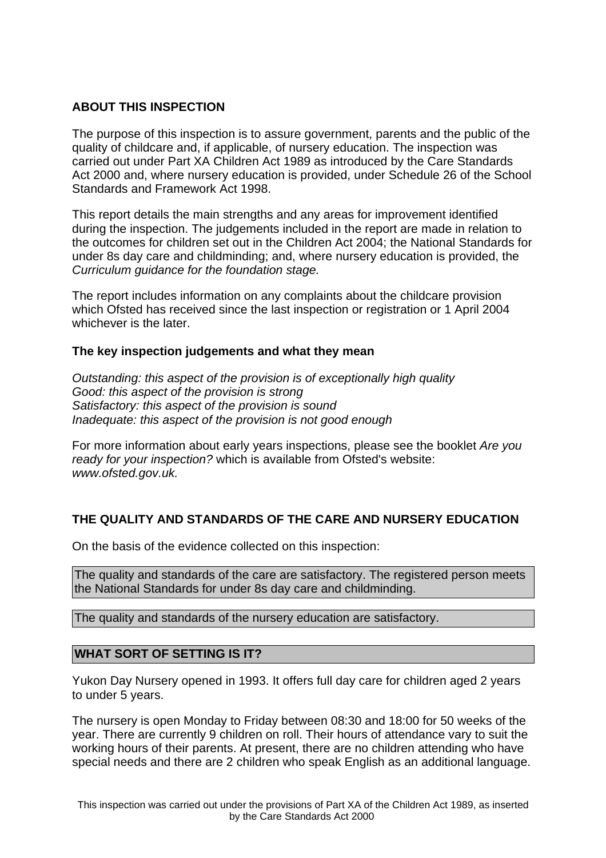## **ABOUT THIS INSPECTION**

The purpose of this inspection is to assure government, parents and the public of the quality of childcare and, if applicable, of nursery education. The inspection was carried out under Part XA Children Act 1989 as introduced by the Care Standards Act 2000 and, where nursery education is provided, under Schedule 26 of the School Standards and Framework Act 1998.

This report details the main strengths and any areas for improvement identified during the inspection. The judgements included in the report are made in relation to the outcomes for children set out in the Children Act 2004; the National Standards for under 8s day care and childminding; and, where nursery education is provided, the Curriculum guidance for the foundation stage.

The report includes information on any complaints about the childcare provision which Ofsted has received since the last inspection or registration or 1 April 2004 whichever is the later.

## **The key inspection judgements and what they mean**

Outstanding: this aspect of the provision is of exceptionally high quality Good: this aspect of the provision is strong Satisfactory: this aspect of the provision is sound Inadequate: this aspect of the provision is not good enough

For more information about early years inspections, please see the booklet Are you ready for your inspection? which is available from Ofsted's website: www.ofsted.gov.uk.

## **THE QUALITY AND STANDARDS OF THE CARE AND NURSERY EDUCATION**

On the basis of the evidence collected on this inspection:

The quality and standards of the care are satisfactory. The registered person meets the National Standards for under 8s day care and childminding.

The quality and standards of the nursery education are satisfactory.

## **WHAT SORT OF SETTING IS IT?**

Yukon Day Nursery opened in 1993. It offers full day care for children aged 2 years to under 5 years.

The nursery is open Monday to Friday between 08:30 and 18:00 for 50 weeks of the year. There are currently 9 children on roll. Their hours of attendance vary to suit the working hours of their parents. At present, there are no children attending who have special needs and there are 2 children who speak English as an additional language.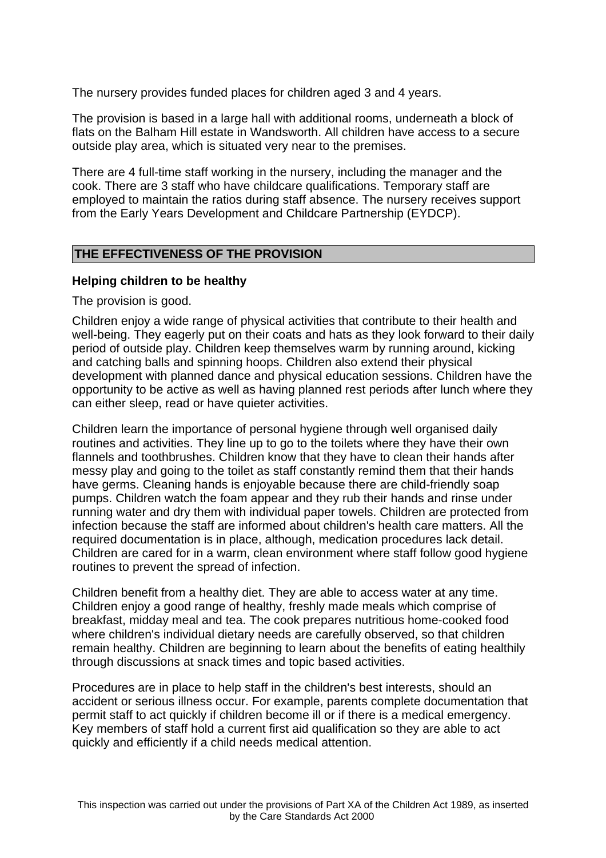The nursery provides funded places for children aged 3 and 4 years.

The provision is based in a large hall with additional rooms, underneath a block of flats on the Balham Hill estate in Wandsworth. All children have access to a secure outside play area, which is situated very near to the premises.

There are 4 full-time staff working in the nursery, including the manager and the cook. There are 3 staff who have childcare qualifications. Temporary staff are employed to maintain the ratios during staff absence. The nursery receives support from the Early Years Development and Childcare Partnership (EYDCP).

#### **THE EFFECTIVENESS OF THE PROVISION**

#### **Helping children to be healthy**

The provision is good.

Children enjoy a wide range of physical activities that contribute to their health and well-being. They eagerly put on their coats and hats as they look forward to their daily period of outside play. Children keep themselves warm by running around, kicking and catching balls and spinning hoops. Children also extend their physical development with planned dance and physical education sessions. Children have the opportunity to be active as well as having planned rest periods after lunch where they can either sleep, read or have quieter activities.

Children learn the importance of personal hygiene through well organised daily routines and activities. They line up to go to the toilets where they have their own flannels and toothbrushes. Children know that they have to clean their hands after messy play and going to the toilet as staff constantly remind them that their hands have germs. Cleaning hands is enjoyable because there are child-friendly soap pumps. Children watch the foam appear and they rub their hands and rinse under running water and dry them with individual paper towels. Children are protected from infection because the staff are informed about children's health care matters. All the required documentation is in place, although, medication procedures lack detail. Children are cared for in a warm, clean environment where staff follow good hygiene routines to prevent the spread of infection.

Children benefit from a healthy diet. They are able to access water at any time. Children enjoy a good range of healthy, freshly made meals which comprise of breakfast, midday meal and tea. The cook prepares nutritious home-cooked food where children's individual dietary needs are carefully observed, so that children remain healthy. Children are beginning to learn about the benefits of eating healthily through discussions at snack times and topic based activities.

Procedures are in place to help staff in the children's best interests, should an accident or serious illness occur. For example, parents complete documentation that permit staff to act quickly if children become ill or if there is a medical emergency. Key members of staff hold a current first aid qualification so they are able to act quickly and efficiently if a child needs medical attention.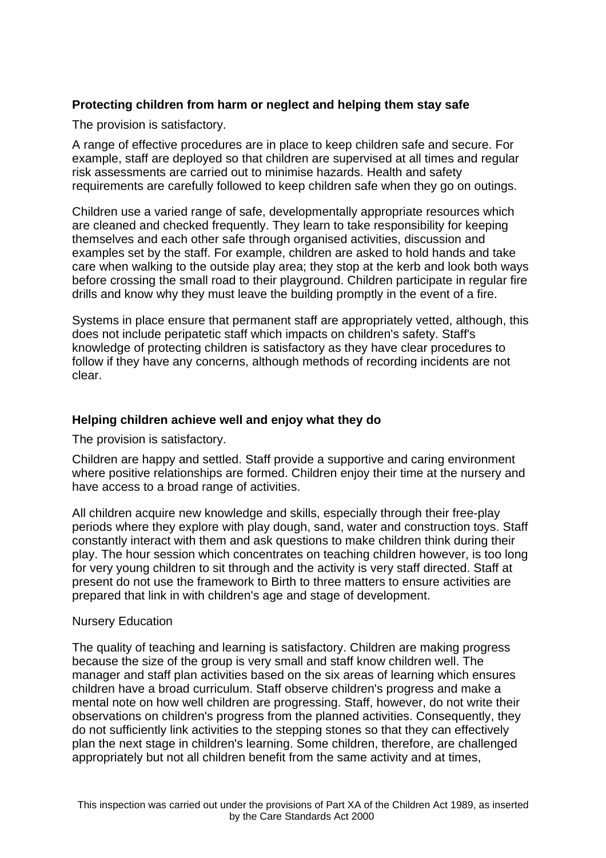## **Protecting children from harm or neglect and helping them stay safe**

The provision is satisfactory.

A range of effective procedures are in place to keep children safe and secure. For example, staff are deployed so that children are supervised at all times and regular risk assessments are carried out to minimise hazards. Health and safety requirements are carefully followed to keep children safe when they go on outings.

Children use a varied range of safe, developmentally appropriate resources which are cleaned and checked frequently. They learn to take responsibility for keeping themselves and each other safe through organised activities, discussion and examples set by the staff. For example, children are asked to hold hands and take care when walking to the outside play area; they stop at the kerb and look both ways before crossing the small road to their playground. Children participate in regular fire drills and know why they must leave the building promptly in the event of a fire.

Systems in place ensure that permanent staff are appropriately vetted, although, this does not include peripatetic staff which impacts on children's safety. Staff's knowledge of protecting children is satisfactory as they have clear procedures to follow if they have any concerns, although methods of recording incidents are not clear.

## **Helping children achieve well and enjoy what they do**

The provision is satisfactory.

Children are happy and settled. Staff provide a supportive and caring environment where positive relationships are formed. Children enjoy their time at the nursery and have access to a broad range of activities.

All children acquire new knowledge and skills, especially through their free-play periods where they explore with play dough, sand, water and construction toys. Staff constantly interact with them and ask questions to make children think during their play. The hour session which concentrates on teaching children however, is too long for very young children to sit through and the activity is very staff directed. Staff at present do not use the framework to Birth to three matters to ensure activities are prepared that link in with children's age and stage of development.

#### Nursery Education

The quality of teaching and learning is satisfactory. Children are making progress because the size of the group is very small and staff know children well. The manager and staff plan activities based on the six areas of learning which ensures children have a broad curriculum. Staff observe children's progress and make a mental note on how well children are progressing. Staff, however, do not write their observations on children's progress from the planned activities. Consequently, they do not sufficiently link activities to the stepping stones so that they can effectively plan the next stage in children's learning. Some children, therefore, are challenged appropriately but not all children benefit from the same activity and at times,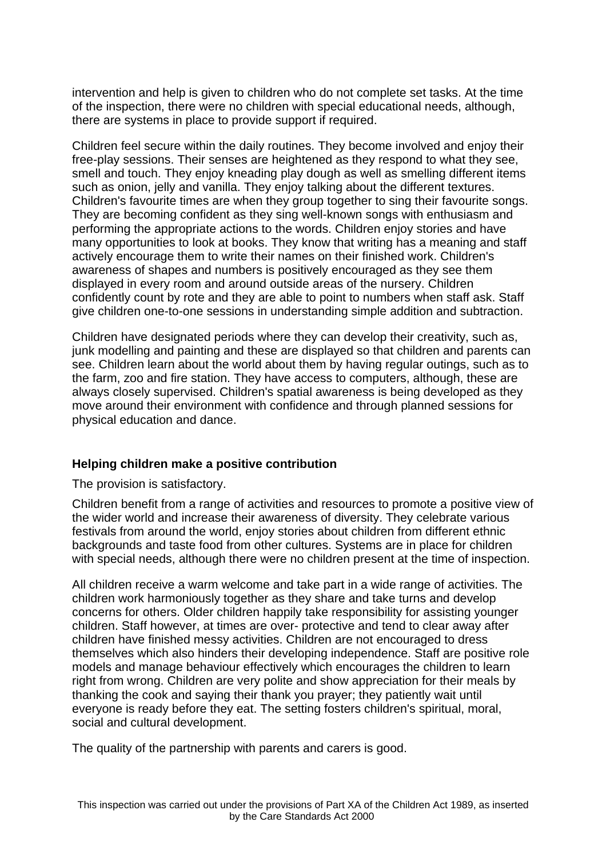intervention and help is given to children who do not complete set tasks. At the time of the inspection, there were no children with special educational needs, although, there are systems in place to provide support if required.

Children feel secure within the daily routines. They become involved and enjoy their free-play sessions. Their senses are heightened as they respond to what they see, smell and touch. They enjoy kneading play dough as well as smelling different items such as onion, jelly and vanilla. They enjoy talking about the different textures. Children's favourite times are when they group together to sing their favourite songs. They are becoming confident as they sing well-known songs with enthusiasm and performing the appropriate actions to the words. Children enjoy stories and have many opportunities to look at books. They know that writing has a meaning and staff actively encourage them to write their names on their finished work. Children's awareness of shapes and numbers is positively encouraged as they see them displayed in every room and around outside areas of the nursery. Children confidently count by rote and they are able to point to numbers when staff ask. Staff give children one-to-one sessions in understanding simple addition and subtraction.

Children have designated periods where they can develop their creativity, such as, junk modelling and painting and these are displayed so that children and parents can see. Children learn about the world about them by having regular outings, such as to the farm, zoo and fire station. They have access to computers, although, these are always closely supervised. Children's spatial awareness is being developed as they move around their environment with confidence and through planned sessions for physical education and dance.

#### **Helping children make a positive contribution**

The provision is satisfactory.

Children benefit from a range of activities and resources to promote a positive view of the wider world and increase their awareness of diversity. They celebrate various festivals from around the world, enjoy stories about children from different ethnic backgrounds and taste food from other cultures. Systems are in place for children with special needs, although there were no children present at the time of inspection.

All children receive a warm welcome and take part in a wide range of activities. The children work harmoniously together as they share and take turns and develop concerns for others. Older children happily take responsibility for assisting younger children. Staff however, at times are over- protective and tend to clear away after children have finished messy activities. Children are not encouraged to dress themselves which also hinders their developing independence. Staff are positive role models and manage behaviour effectively which encourages the children to learn right from wrong. Children are very polite and show appreciation for their meals by thanking the cook and saying their thank you prayer; they patiently wait until everyone is ready before they eat. The setting fosters children's spiritual, moral, social and cultural development.

The quality of the partnership with parents and carers is good.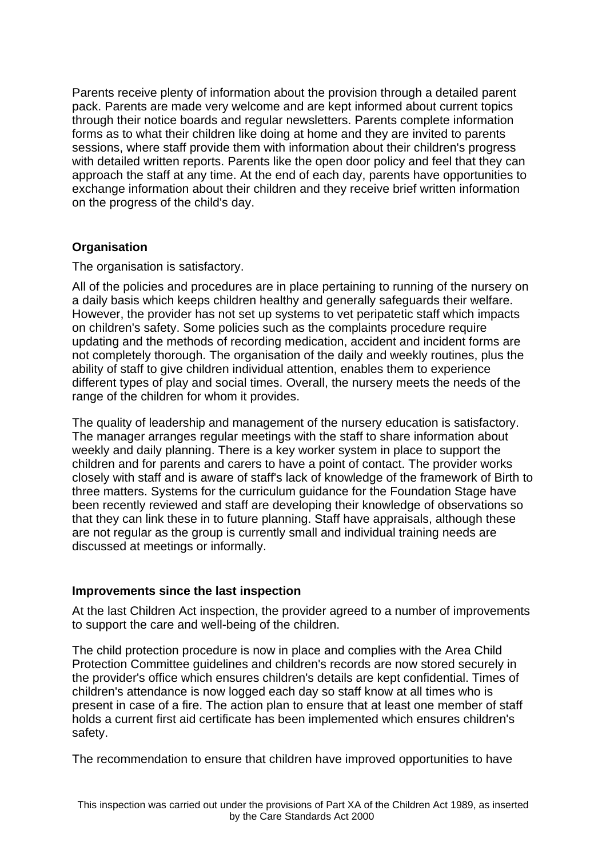Parents receive plenty of information about the provision through a detailed parent pack. Parents are made very welcome and are kept informed about current topics through their notice boards and regular newsletters. Parents complete information forms as to what their children like doing at home and they are invited to parents sessions, where staff provide them with information about their children's progress with detailed written reports. Parents like the open door policy and feel that they can approach the staff at any time. At the end of each day, parents have opportunities to exchange information about their children and they receive brief written information on the progress of the child's day.

## **Organisation**

The organisation is satisfactory.

All of the policies and procedures are in place pertaining to running of the nursery on a daily basis which keeps children healthy and generally safeguards their welfare. However, the provider has not set up systems to vet peripatetic staff which impacts on children's safety. Some policies such as the complaints procedure require updating and the methods of recording medication, accident and incident forms are not completely thorough. The organisation of the daily and weekly routines, plus the ability of staff to give children individual attention, enables them to experience different types of play and social times. Overall, the nursery meets the needs of the range of the children for whom it provides.

The quality of leadership and management of the nursery education is satisfactory. The manager arranges regular meetings with the staff to share information about weekly and daily planning. There is a key worker system in place to support the children and for parents and carers to have a point of contact. The provider works closely with staff and is aware of staff's lack of knowledge of the framework of Birth to three matters. Systems for the curriculum guidance for the Foundation Stage have been recently reviewed and staff are developing their knowledge of observations so that they can link these in to future planning. Staff have appraisals, although these are not regular as the group is currently small and individual training needs are discussed at meetings or informally.

## **Improvements since the last inspection**

At the last Children Act inspection, the provider agreed to a number of improvements to support the care and well-being of the children.

The child protection procedure is now in place and complies with the Area Child Protection Committee guidelines and children's records are now stored securely in the provider's office which ensures children's details are kept confidential. Times of children's attendance is now logged each day so staff know at all times who is present in case of a fire. The action plan to ensure that at least one member of staff holds a current first aid certificate has been implemented which ensures children's safety.

The recommendation to ensure that children have improved opportunities to have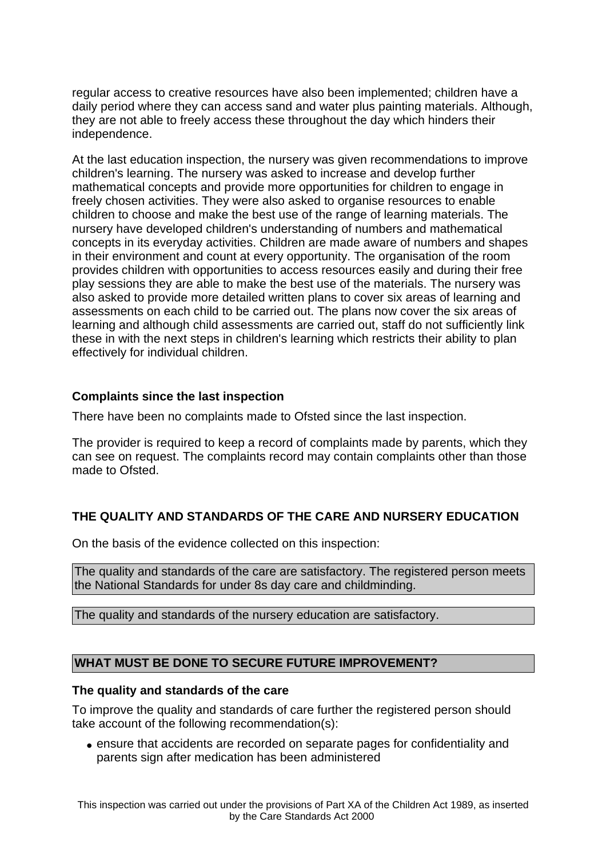regular access to creative resources have also been implemented; children have a daily period where they can access sand and water plus painting materials. Although, they are not able to freely access these throughout the day which hinders their independence.

At the last education inspection, the nursery was given recommendations to improve children's learning. The nursery was asked to increase and develop further mathematical concepts and provide more opportunities for children to engage in freely chosen activities. They were also asked to organise resources to enable children to choose and make the best use of the range of learning materials. The nursery have developed children's understanding of numbers and mathematical concepts in its everyday activities. Children are made aware of numbers and shapes in their environment and count at every opportunity. The organisation of the room provides children with opportunities to access resources easily and during their free play sessions they are able to make the best use of the materials. The nursery was also asked to provide more detailed written plans to cover six areas of learning and assessments on each child to be carried out. The plans now cover the six areas of learning and although child assessments are carried out, staff do not sufficiently link these in with the next steps in children's learning which restricts their ability to plan effectively for individual children.

## **Complaints since the last inspection**

There have been no complaints made to Ofsted since the last inspection.

The provider is required to keep a record of complaints made by parents, which they can see on request. The complaints record may contain complaints other than those made to Ofsted.

## **THE QUALITY AND STANDARDS OF THE CARE AND NURSERY EDUCATION**

On the basis of the evidence collected on this inspection:

The quality and standards of the care are satisfactory. The registered person meets the National Standards for under 8s day care and childminding.

The quality and standards of the nursery education are satisfactory.

## **WHAT MUST BE DONE TO SECURE FUTURE IMPROVEMENT?**

#### **The quality and standards of the care**

To improve the quality and standards of care further the registered person should take account of the following recommendation(s):

• ensure that accidents are recorded on separate pages for confidentiality and parents sign after medication has been administered